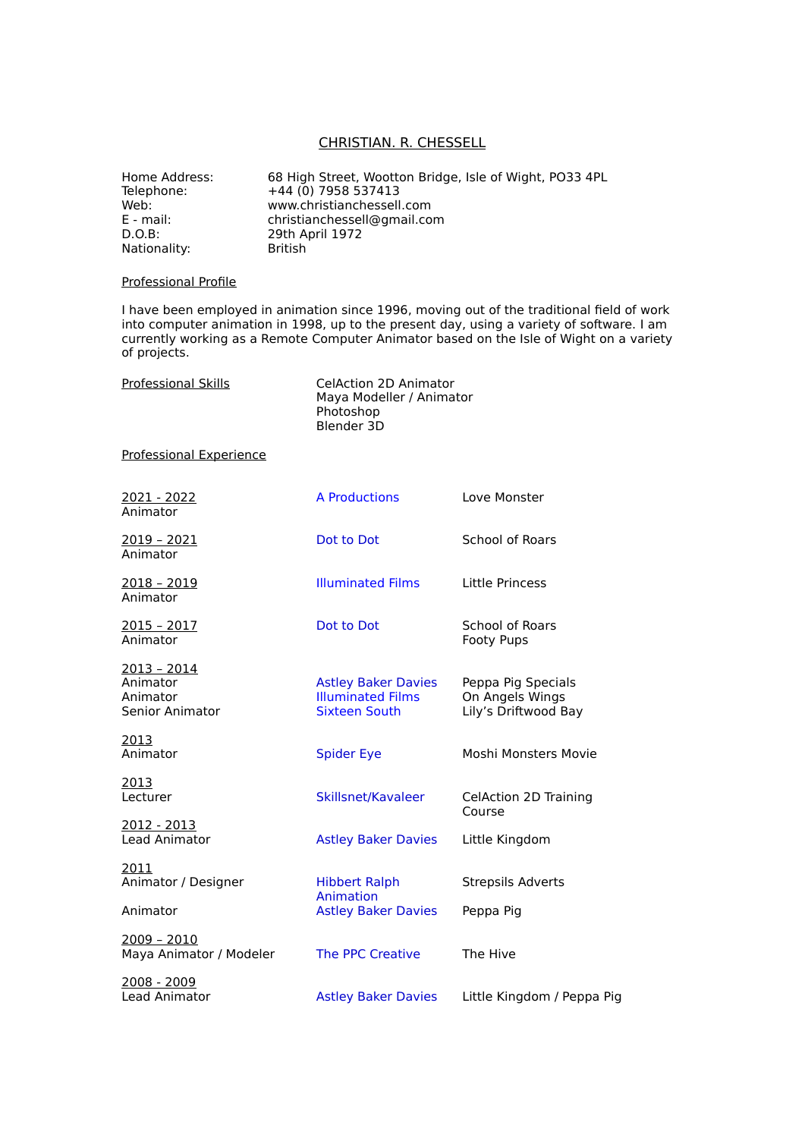## CHRISTIAN. R. CHESSELL

Nationality:

Home Address: 68 High Street, Wootton Bridge, Isle of Wight, PO33 4PL<br>Telephone: +44 (0) 7958 537413 Telephone: +44 (0) 7958 537413<br>Web: www.christianchessell Web: www.christianchessell.com<br>E - mail: contristianchessell@gmail.com E - mail: christianchessell@gmail.com<br>
D.O.B: 29th April 1972 29th April 1972<br>British

## Professional Profile

I have been employed in animation since 1996, moving out of the traditional field of work into computer animation in 1998, up to the present day, using a variety of software. I am currently working as a Remote Computer Animator based on the Isle of Wight on a variety of projects.

| <b>Professional Skills</b> | CelAction 2D Animator    |
|----------------------------|--------------------------|
|                            | Maya Modeller / Animator |
|                            | Photoshop                |
|                            | Blender 3D               |

## Professional Experience

| 2021 - 2022<br>Animator                                        | <b>A Productions</b>                                                           | Love Monster                                                  |
|----------------------------------------------------------------|--------------------------------------------------------------------------------|---------------------------------------------------------------|
| <u> 2019 - 2021</u><br>Animator                                | Dot to Dot                                                                     | School of Roars                                               |
| 2018 - 2019<br>Animator                                        | <b>Illuminated Films</b>                                                       | Little Princess                                               |
| <u> 2015 - 2017</u><br>Animator                                | Dot to Dot                                                                     | <b>School of Roars</b><br><b>Footy Pups</b>                   |
| <u> 2013 - 2014</u><br>Animator<br>Animator<br>Senior Animator | <b>Astley Baker Davies</b><br><b>Illuminated Films</b><br><b>Sixteen South</b> | Peppa Pig Specials<br>On Angels Wings<br>Lily's Driftwood Bay |
| 2013<br>Animator                                               | <b>Spider Eye</b>                                                              | Moshi Monsters Movie                                          |
| 2013<br>Lecturer                                               | Skillsnet/Kavaleer                                                             | <b>CelAction 2D Training</b><br>Course                        |
| <u> 2012 - 2013</u><br>Lead Animator                           | <b>Astley Baker Davies</b>                                                     | Little Kingdom                                                |
| 2011<br>Animator / Designer                                    | <b>Hibbert Ralph</b><br>Animation                                              | Strepsils Adverts                                             |
| Animator                                                       | <b>Astley Baker Davies</b>                                                     | Peppa Pig                                                     |
| 2009 - 2010<br>Maya Animator / Modeler                         | The PPC Creative                                                               | The Hive                                                      |
| <u> 2008 - 2009</u><br>Lead Animator                           | <b>Astley Baker Davies</b>                                                     | Little Kingdom / Peppa Pig                                    |